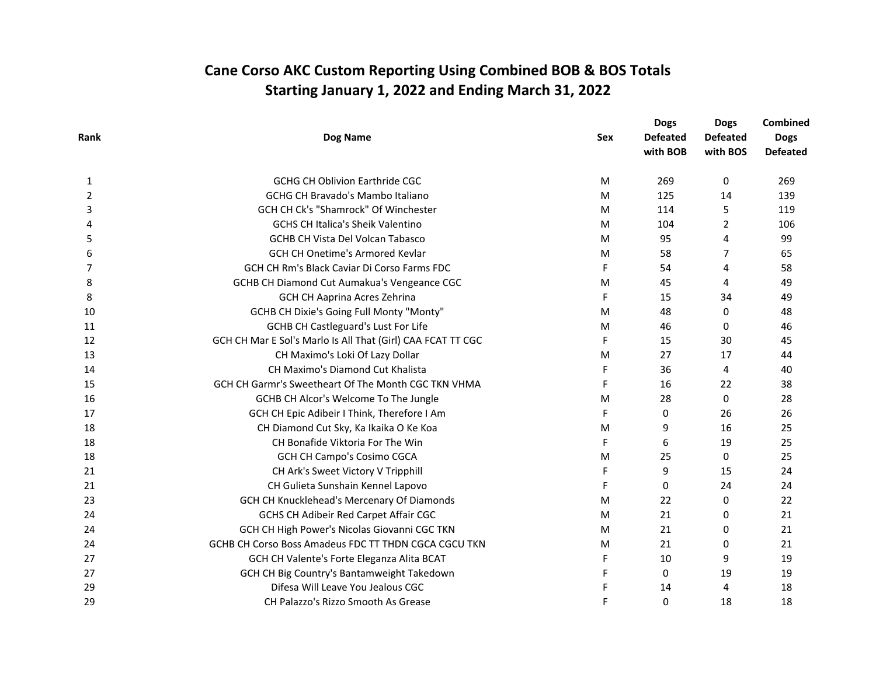| Rank | Dog Name                                                    |     | <b>Dogs</b><br><b>Defeated</b><br>with BOB | <b>Dogs</b><br><b>Defeated</b><br>with BOS | Combined<br><b>Dogs</b><br><b>Defeated</b> |
|------|-------------------------------------------------------------|-----|--------------------------------------------|--------------------------------------------|--------------------------------------------|
|      |                                                             | Sex |                                            |                                            |                                            |
|      |                                                             |     |                                            |                                            |                                            |
| 2    | <b>GCHG CH Bravado's Mambo Italiano</b>                     | M   | 125                                        | 14                                         | 139                                        |
| 3    | GCH CH Ck's "Shamrock" Of Winchester                        | M   | 114                                        | 5                                          | 119                                        |
| 4    | GCHS CH Italica's Sheik Valentino                           | M   | 104                                        | 2                                          | 106                                        |
| 5    | <b>GCHB CH Vista Del Volcan Tabasco</b>                     | M   | 95                                         | 4                                          | 99                                         |
| 6    | <b>GCH CH Onetime's Armored Kevlar</b>                      | M   | 58                                         | 7                                          | 65                                         |
| 7    | GCH CH Rm's Black Caviar Di Corso Farms FDC                 | F   | 54                                         | 4                                          | 58                                         |
| 8    | GCHB CH Diamond Cut Aumakua's Vengeance CGC                 | M   | 45                                         | 4                                          | 49                                         |
| 8    | GCH CH Aaprina Acres Zehrina                                | F   | 15                                         | 34                                         | 49                                         |
| 10   | GCHB CH Dixie's Going Full Monty "Monty"                    | M   | 48                                         | 0                                          | 48                                         |
| 11   | <b>GCHB CH Castleguard's Lust For Life</b>                  | M   | 46                                         | 0                                          | 46                                         |
| 12   | GCH CH Mar E Sol's Marlo Is All That (Girl) CAA FCAT TT CGC | F   | 15                                         | 30                                         | 45                                         |
| 13   | CH Maximo's Loki Of Lazy Dollar                             | M   | 27                                         | 17                                         | 44                                         |
| 14   | CH Maximo's Diamond Cut Khalista                            | F   | 36                                         | 4                                          | 40                                         |
| 15   | GCH CH Garmr's Sweetheart Of The Month CGC TKN VHMA         | F   | 16                                         | 22                                         | 38                                         |
| 16   | GCHB CH Alcor's Welcome To The Jungle                       | M   | 28                                         | 0                                          | 28                                         |
| 17   | GCH CH Epic Adibeir I Think, Therefore I Am                 | F   | 0                                          | 26                                         | 26                                         |
| 18   | CH Diamond Cut Sky, Ka Ikaika O Ke Koa                      | M   | 9                                          | 16                                         | 25                                         |
| 18   | CH Bonafide Viktoria For The Win                            | F   | 6                                          | 19                                         | 25                                         |
| 18   | <b>GCH CH Campo's Cosimo CGCA</b>                           | M   | 25                                         | 0                                          | 25                                         |
| 21   | CH Ark's Sweet Victory V Tripphill                          | F   | 9                                          | 15                                         | 24                                         |
| 21   | CH Gulieta Sunshain Kennel Lapovo                           | F   | 0                                          | 24                                         | 24                                         |
| 23   | GCH CH Knucklehead's Mercenary Of Diamonds                  | M   | 22                                         | 0                                          | 22                                         |
| 24   | GCHS CH Adibeir Red Carpet Affair CGC                       | M   | 21                                         | 0                                          | 21                                         |
| 24   | GCH CH High Power's Nicolas Giovanni CGC TKN                | M   | 21                                         | 0                                          | 21                                         |
| 24   | GCHB CH Corso Boss Amadeus FDC TT THDN CGCA CGCU TKN        | M   | 21                                         | 0                                          | 21                                         |
| 27   | GCH CH Valente's Forte Eleganza Alita BCAT                  | F   | 10                                         | 9                                          | 19                                         |
| 27   | GCH CH Big Country's Bantamweight Takedown                  | F   | $\mathbf{0}$                               | 19                                         | 19                                         |
| 29   | Difesa Will Leave You Jealous CGC                           | F   | 14                                         | 4                                          | 18                                         |
| 29   | CH Palazzo's Rizzo Smooth As Grease                         | F   | 0                                          | 18                                         | 18                                         |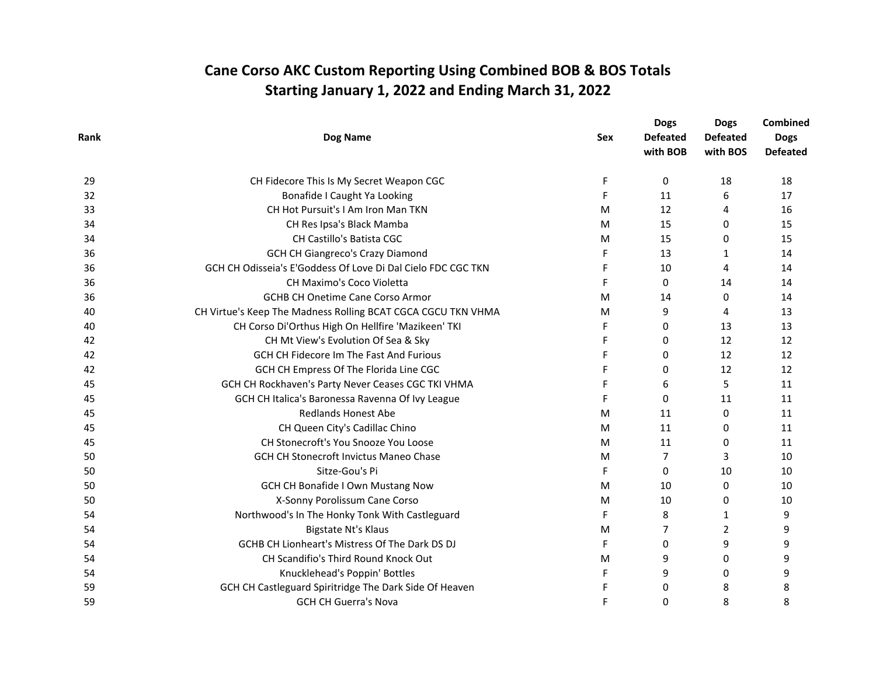| Rank<br>Dog Name                                                   | Sex<br>F<br>F | <b>Defeated</b><br>with BOB<br>0 | <b>Defeated</b><br>with BOS | <b>Dogs</b><br><b>Defeated</b> |
|--------------------------------------------------------------------|---------------|----------------------------------|-----------------------------|--------------------------------|
|                                                                    |               |                                  |                             |                                |
|                                                                    |               |                                  |                             |                                |
| CH Fidecore This Is My Secret Weapon CGC<br>29                     |               |                                  | 18                          | 18                             |
| Bonafide I Caught Ya Looking<br>32                                 |               | 11                               | 6                           | 17                             |
| CH Hot Pursuit's I Am Iron Man TKN<br>33                           | M             | 12                               | 4                           | 16                             |
| CH Res Ipsa's Black Mamba<br>34                                    | M             | 15                               | 0                           | 15                             |
| CH Castillo's Batista CGC<br>34                                    | M             | 15                               | 0                           | 15                             |
| GCH CH Giangreco's Crazy Diamond<br>36                             | F             | 13                               | 1                           | 14                             |
| GCH CH Odisseia's E'Goddess Of Love Di Dal Cielo FDC CGC TKN<br>36 | F             | 10                               | 4                           | 14                             |
| CH Maximo's Coco Violetta<br>36                                    | F             | $\Omega$                         | 14                          | 14                             |
| <b>GCHB CH Onetime Cane Corso Armor</b><br>36                      | M             | 14                               | 0                           | 14                             |
| CH Virtue's Keep The Madness Rolling BCAT CGCA CGCU TKN VHMA<br>40 | M             | 9                                | 4                           | 13                             |
| CH Corso Di'Orthus High On Hellfire 'Mazikeen' TKI<br>40           | F             | 0                                | 13                          | 13                             |
| CH Mt View's Evolution Of Sea & Sky<br>42                          | F             | 0                                | 12                          | 12                             |
| GCH CH Fidecore Im The Fast And Furious<br>42                      | F             | $\Omega$                         | 12                          | 12                             |
| GCH CH Empress Of The Florida Line CGC<br>42                       | F             | 0                                | 12                          | 12                             |
| GCH CH Rockhaven's Party Never Ceases CGC TKI VHMA<br>45           | F             | 6                                | 5                           | 11                             |
| GCH CH Italica's Baronessa Ravenna Of Ivy League<br>45             | F             | 0                                | 11                          | 11                             |
| <b>Redlands Honest Abe</b><br>45                                   | M             | 11                               | 0                           | 11                             |
| CH Queen City's Cadillac Chino<br>45                               | M             | 11                               | 0                           | 11                             |
| CH Stonecroft's You Snooze You Loose<br>45                         | M             | 11                               | 0                           | 11                             |
| <b>GCH CH Stonecroft Invictus Maneo Chase</b><br>50                | M             | $\overline{7}$                   | 3                           | 10                             |
| Sitze-Gou's Pi<br>50                                               | F             | $\Omega$                         | 10                          | 10                             |
| <b>GCH CH Bonafide I Own Mustang Now</b><br>50                     | M             | 10                               | 0                           | 10                             |
| X-Sonny Porolissum Cane Corso<br>50                                | M             | 10                               | 0                           | 10                             |
| Northwood's In The Honky Tonk With Castleguard<br>54               | F             | 8                                | 1                           | 9                              |
| Bigstate Nt's Klaus<br>54                                          | M             | $\overline{7}$                   | 2                           | 9                              |
| <b>GCHB CH Lionheart's Mistress Of The Dark DS DJ</b><br>54        | F             | $\Omega$                         | 9                           | 9                              |
| CH Scandifio's Third Round Knock Out<br>54                         | M             | 9                                | 0                           | 9                              |
| Knucklehead's Poppin' Bottles<br>54                                | F             | 9                                | 0                           | 9                              |
| GCH CH Castleguard Spiritridge The Dark Side Of Heaven<br>59       | F             | 0                                | 8                           | 8                              |
| <b>GCH CH Guerra's Nova</b><br>59                                  | F             | 0                                | 8                           | 8                              |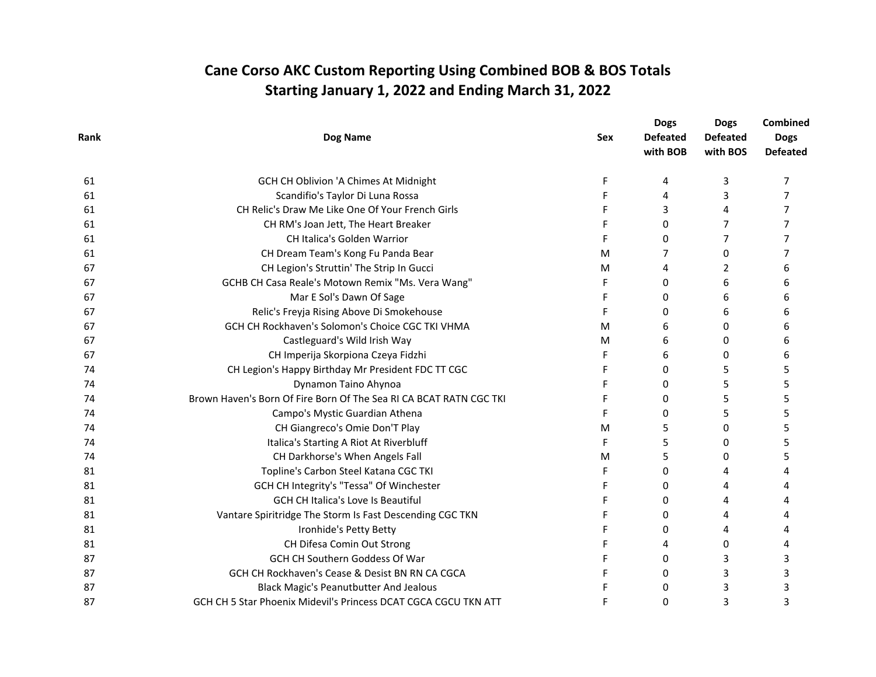| Rank | Dog Name                                                           |            | <b>Dogs</b><br><b>Defeated</b><br>with BOB | <b>Dogs</b><br><b>Defeated</b><br>with BOS | Combined<br><b>Dogs</b><br><b>Defeated</b> |
|------|--------------------------------------------------------------------|------------|--------------------------------------------|--------------------------------------------|--------------------------------------------|
|      |                                                                    | <b>Sex</b> |                                            |                                            |                                            |
|      |                                                                    |            |                                            |                                            |                                            |
| 61   | Scandifio's Taylor Di Luna Rossa                                   | F          | 4                                          | 3                                          | 7                                          |
| 61   | CH Relic's Draw Me Like One Of Your French Girls                   | F          | 3                                          | 4                                          | 7                                          |
| 61   | CH RM's Joan Jett, The Heart Breaker                               |            | 0                                          | 7                                          | 7                                          |
| 61   | CH Italica's Golden Warrior                                        | F          | $\Omega$                                   | 7                                          | 7                                          |
| 61   | CH Dream Team's Kong Fu Panda Bear                                 | M          | 7                                          | 0                                          | 7                                          |
| 67   | CH Legion's Struttin' The Strip In Gucci                           | M          | 4                                          | 2                                          | 6                                          |
| 67   | GCHB CH Casa Reale's Motown Remix "Ms. Vera Wang"                  | F          | 0                                          | 6                                          | 6                                          |
| 67   | Mar E Sol's Dawn Of Sage                                           | F          | 0                                          | 6                                          | 6                                          |
| 67   | Relic's Freyja Rising Above Di Smokehouse                          | F          | $\Omega$                                   | 6                                          | 6                                          |
| 67   | GCH CH Rockhaven's Solomon's Choice CGC TKI VHMA                   | M          | 6                                          | 0                                          | 6                                          |
| 67   | Castleguard's Wild Irish Way                                       | M          | 6                                          | 0                                          | 6                                          |
| 67   | CH Imperija Skorpiona Czeya Fidzhi                                 | F          | 6                                          | 0                                          | 6                                          |
| 74   | CH Legion's Happy Birthday Mr President FDC TT CGC                 | F          | $\Omega$                                   | 5                                          | 5                                          |
| 74   | Dynamon Taino Ahynoa                                               | F          | 0                                          | 5                                          | 5                                          |
| 74   | Brown Haven's Born Of Fire Born Of The Sea RI CA BCAT RATN CGC TKI | F          | 0                                          | 5                                          | 5                                          |
| 74   | Campo's Mystic Guardian Athena                                     | F          | 0                                          | 5                                          | 5                                          |
| 74   | CH Giangreco's Omie Don'T Play                                     | M          | 5                                          | 0                                          | 5                                          |
| 74   | Italica's Starting A Riot At Riverbluff                            | F          | 5                                          | 0                                          | 5                                          |
| 74   | CH Darkhorse's When Angels Fall                                    | M          | 5                                          | 0                                          | 5                                          |
| 81   | Topline's Carbon Steel Katana CGC TKI                              | F          | 0                                          | 4                                          | 4                                          |
| 81   | GCH CH Integrity's "Tessa" Of Winchester                           |            | 0                                          | 4                                          |                                            |
| 81   | GCH CH Italica's Love Is Beautiful                                 | F          | 0                                          | 4                                          | 4                                          |
| 81   | Vantare Spiritridge The Storm Is Fast Descending CGC TKN           | F          | 0                                          | 4                                          | 4                                          |
| 81   | Ironhide's Petty Betty                                             | F          | 0                                          | 4                                          | 4                                          |
| 81   | CH Difesa Comin Out Strong                                         |            | 4                                          | 0                                          | 4                                          |
| 87   | GCH CH Southern Goddess Of War                                     |            | 0                                          | 3                                          | 3                                          |
| 87   | GCH CH Rockhaven's Cease & Desist BN RN CA CGCA                    | F          | 0                                          | 3                                          | 3                                          |
| 87   | <b>Black Magic's Peanutbutter And Jealous</b>                      |            | 0                                          | 3                                          | 3                                          |
| 87   | GCH CH 5 Star Phoenix Midevil's Princess DCAT CGCA CGCU TKN ATT    | F          | 0                                          | 3                                          | 3                                          |
|      |                                                                    |            |                                            |                                            |                                            |